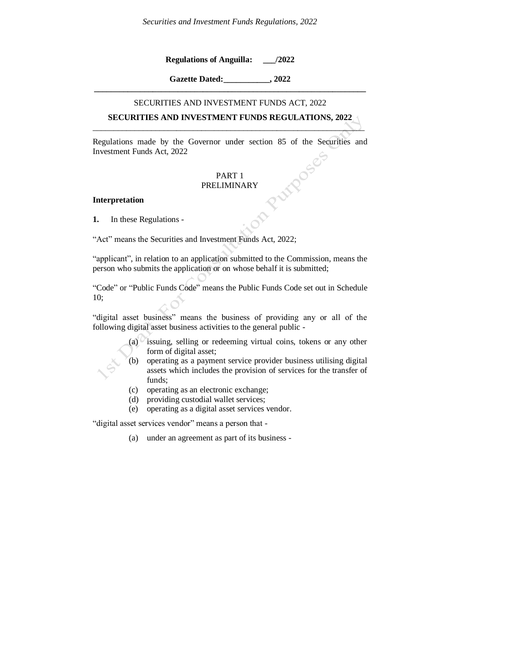**Regulations of Anguilla: \_\_\_/2022**

**Gazette Dated:\_\_\_\_\_\_\_\_\_\_\_, 2022 \_\_\_\_\_\_\_\_\_\_\_\_\_\_\_\_\_\_\_\_\_\_\_\_\_\_\_\_\_\_\_\_\_\_\_\_\_\_\_\_\_\_\_\_\_\_\_\_\_\_\_\_\_\_\_\_\_\_\_\_\_\_\_\_\_**

#### SECURITIES AND INVESTMENT FUNDS ACT, 2022

## **SECURITIES AND INVESTMENT FUNDS REGULATIONS, 2022** \_\_\_\_\_\_\_\_\_\_\_\_\_\_\_\_\_\_\_\_\_\_\_\_\_\_\_\_\_\_\_\_\_\_\_\_\_\_\_\_\_\_\_\_\_\_\_\_\_\_\_\_\_\_\_\_\_\_\_\_\_\_\_\_\_

Regulations made by the Governor under section 85 of the Securities and Investment Funds Act, 2022

## PART 1 PRELIMINARY

#### **Interpretation**

**1.** In these Regulations -

"Act" means the Securities and Investment Funds Act, 2022;

"applicant", in relation to an application submitted to the Commission, means the person who submits the application or on whose behalf it is submitted;

"Code" or "Public Funds Code" means the Public Funds Code set out in Schedule 10;

"digital asset business" means the business of providing any or all of the following digital asset business activities to the general public -

- (a) issuing, selling or redeeming virtual coins, tokens or any other form of digital asset;
- (b) operating as a payment service provider business utilising digital assets which includes the provision of services for the transfer of funds;
- (c) operating as an electronic exchange;
- (d) providing custodial wallet services;
- (e) operating as a digital asset services vendor.

"digital asset services vendor" means a person that -

(a) under an agreement as part of its business -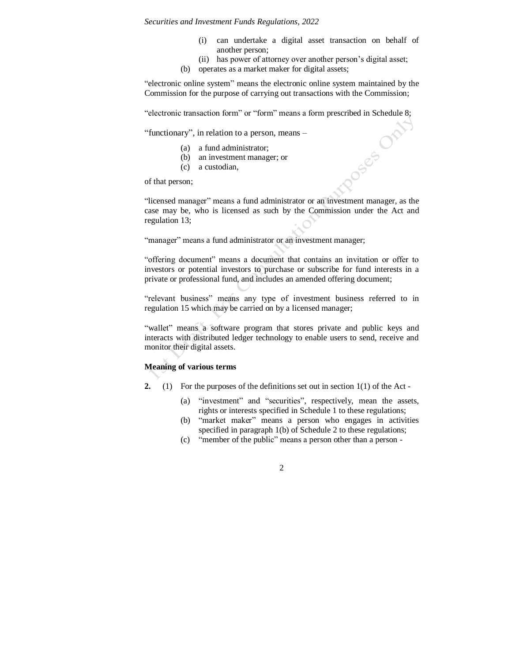(i) can undertake a digital asset transaction on behalf of another person;

**OSES** 

- (ii) has power of attorney over another person's digital asset;
- (b) operates as a market maker for digital assets;

"electronic online system" means the electronic online system maintained by the Commission for the purpose of carrying out transactions with the Commission;

"electronic transaction form" or "form" means a form prescribed in Schedule 8;

"functionary", in relation to a person, means –

- (a) a fund administrator;
- (b) an investment manager; or
- (c) a custodian,

of that person;

"licensed manager" means a fund administrator or an investment manager, as the case may be, who is licensed as such by the Commission under the Act and regulation 13;

"manager" means a fund administrator or an investment manager;

"offering document" means a document that contains an invitation or offer to investors or potential investors to purchase or subscribe for fund interests in a private or professional fund, and includes an amended offering document;

"relevant business" means any type of investment business referred to in regulation 15 which may be carried on by a licensed manager;

"wallet" means a software program that stores private and public keys and interacts with distributed ledger technology to enable users to send, receive and monitor their digital assets.

# **Meaning of various terms**

- **2.** (1) For the purposes of the definitions set out in section 1(1) of the Act
	- (a) "investment" and "securities", respectively, mean the assets, rights or interests specified in Schedule 1 to these regulations;
	- (b) "market maker" means a person who engages in activities specified in paragraph 1(b) of Schedule 2 to these regulations;
	- (c) "member of the public" means a person other than a person -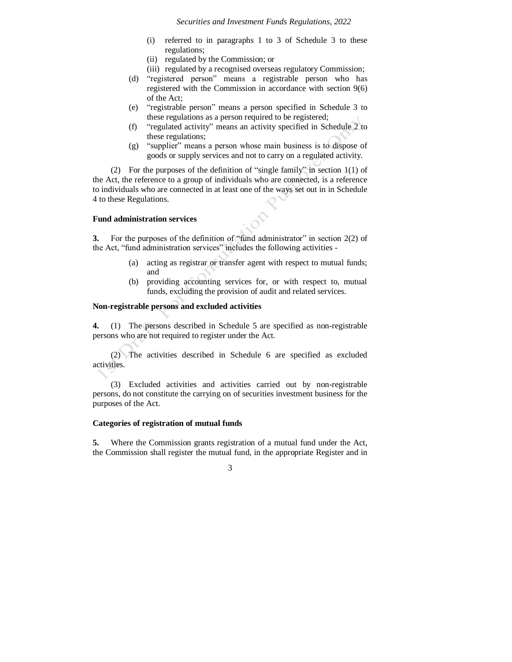- (i) referred to in paragraphs 1 to 3 of Schedule 3 to these regulations;
- (ii) regulated by the Commission; or
- (iii) regulated by a recognised overseas regulatory Commission;
- (d) "registered person" means a registrable person who has registered with the Commission in accordance with section 9(6) of the Act;
- (e) "registrable person" means a person specified in Schedule 3 to these regulations as a person required to be registered;
- (f) "regulated activity" means an activity specified in Schedule 2 to these regulations;
- (g) "supplier" means a person whose main business is to dispose of goods or supply services and not to carry on a regulated activity.

(2) For the purposes of the definition of "single family" in section 1(1) of the Act, the reference to a group of individuals who are connected, is a reference to individuals who are connected in at least one of the ways set out in in Schedule 4 to these Regulations.

#### **Fund administration services**

**3.** For the purposes of the definition of "fund administrator" in section 2(2) of the Act, "fund administration services" includes the following activities -

- (a) acting as registrar or transfer agent with respect to mutual funds; and
- (b) providing accounting services for, or with respect to, mutual funds, excluding the provision of audit and related services.

## **Non-registrable persons and excluded activities**

**4.** (1) The persons described in Schedule 5 are specified as non-registrable persons who are not required to register under the Act.

(2) The activities described in Schedule 6 are specified as excluded activities.

(3) Excluded activities and activities carried out by non-registrable persons, do not constitute the carrying on of securities investment business for the purposes of the Act.

#### **Categories of registration of mutual funds**

**5.** Where the Commission grants registration of a mutual fund under the Act, the Commission shall register the mutual fund, in the appropriate Register and in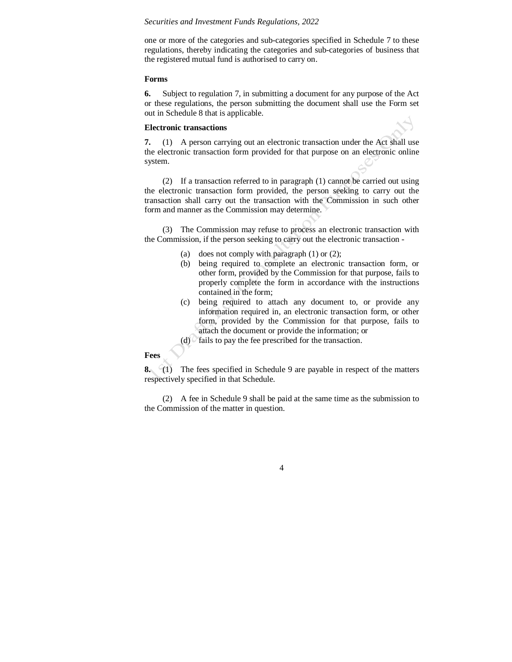one or more of the categories and sub-categories specified in Schedule 7 to these regulations, thereby indicating the categories and sub-categories of business that the registered mutual fund is authorised to carry on.

#### **Forms**

**6.** Subject to regulation 7, in submitting a document for any purpose of the Act or these regulations, the person submitting the document shall use the Form set out in Schedule 8 that is applicable.

#### **Electronic transactions**

**7.** (1) A person carrying out an electronic transaction under the Act shall use the electronic transaction form provided for that purpose on an electronic online system.

(2) If a transaction referred to in paragraph (1) cannot be carried out using the electronic transaction form provided, the person seeking to carry out the transaction shall carry out the transaction with the Commission in such other form and manner as the Commission may determine.

(3) The Commission may refuse to process an electronic transaction with the Commission, if the person seeking to carry out the electronic transaction -

- (a) does not comply with paragraph  $(1)$  or  $(2)$ ;
- (b) being required to complete an electronic transaction form, or other form, provided by the Commission for that purpose, fails to properly complete the form in accordance with the instructions contained in the form;
- (c) being required to attach any document to, or provide any information required in, an electronic transaction form, or other form, provided by the Commission for that purpose, fails to attach the document or provide the information; or
- $(d)$  fails to pay the fee prescribed for the transaction.

### **Fees**

**8.** (1) The fees specified in Schedule 9 are payable in respect of the matters respectively specified in that Schedule.

(2) A fee in Schedule 9 shall be paid at the same time as the submission to the Commission of the matter in question.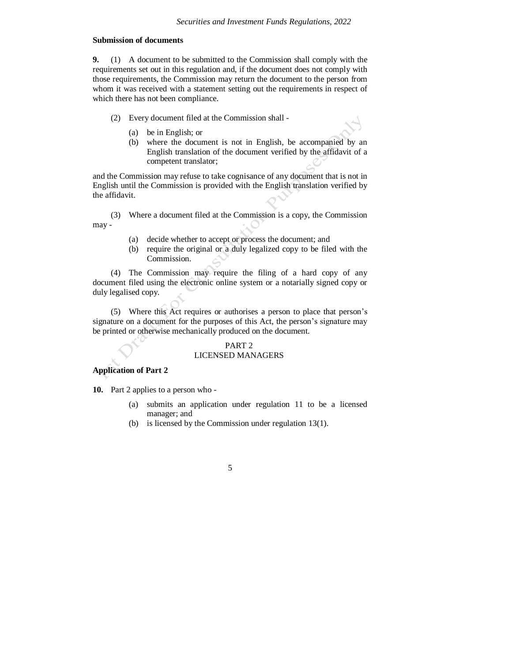## **Submission of documents**

**9.** (1) A document to be submitted to the Commission shall comply with the requirements set out in this regulation and, if the document does not comply with those requirements, the Commission may return the document to the person from whom it was received with a statement setting out the requirements in respect of which there has not been compliance.

- (2) Every document filed at the Commission shall
	- (a) be in English; or
	- (b) where the document is not in English, be accompanied by an English translation of the document verified by the affidavit of a competent translator;

and the Commission may refuse to take cognisance of any document that is not in English until the Commission is provided with the English translation verified by the affidavit.

(3) Where a document filed at the Commission is a copy, the Commission may -

- (a) decide whether to accept or process the document; and
- (b) require the original or a duly legalized copy to be filed with the Commission.

(4) The Commission may require the filing of a hard copy of any document filed using the electronic online system or a notarially signed copy or duly legalised copy.

(5) Where this Act requires or authorises a person to place that person's signature on a document for the purposes of this Act, the person's signature may be printed or otherwise mechanically produced on the document.

# PART 2

## LICENSED MANAGERS

## **Application of Part 2**

**10.** Part 2 applies to a person who -

- (a) submits an application under regulation 11 to be a licensed manager; and
- (b) is licensed by the Commission under regulation 13(1).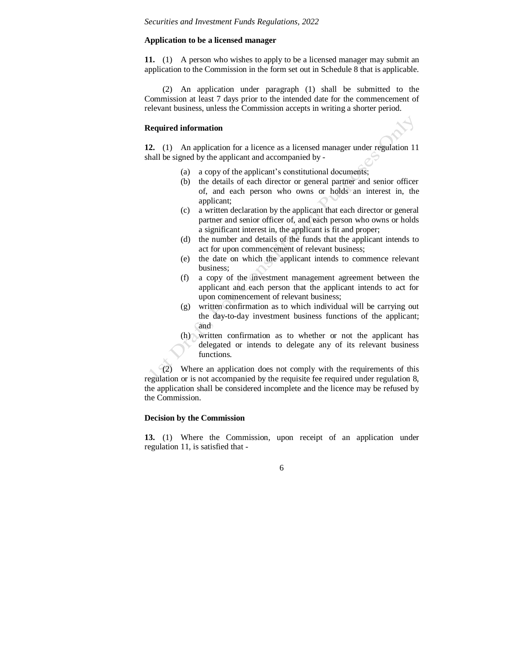### **Application to be a licensed manager**

**11.** (1) A person who wishes to apply to be a licensed manager may submit an application to the Commission in the form set out in Schedule 8 that is applicable.

(2) An application under paragraph (1) shall be submitted to the Commission at least 7 days prior to the intended date for the commencement of relevant business, unless the Commission accepts in writing a shorter period.

## **Required information**

**12.** (1) An application for a licence as a licensed manager under regulation 11 shall be signed by the applicant and accompanied by -

- (a) a copy of the applicant's constitutional documents;
- (b) the details of each director or general partner and senior officer of, and each person who owns or holds an interest in, the applicant;
- (c) a written declaration by the applicant that each director or general partner and senior officer of, and each person who owns or holds a significant interest in, the applicant is fit and proper;
- (d) the number and details of the funds that the applicant intends to act for upon commencement of relevant business;
- (e) the date on which the applicant intends to commence relevant business;
- (f) a copy of the investment management agreement between the applicant and each person that the applicant intends to act for upon commencement of relevant business;
- (g) written confirmation as to which individual will be carrying out the day-to-day investment business functions of the applicant; and
- (h) written confirmation as to whether or not the applicant has delegated or intends to delegate any of its relevant business functions.

(2) Where an application does not comply with the requirements of this regulation or is not accompanied by the requisite fee required under regulation 8, the application shall be considered incomplete and the licence may be refused by the Commission.

## **Decision by the Commission**

**13.** (1) Where the Commission, upon receipt of an application under regulation 11, is satisfied that -

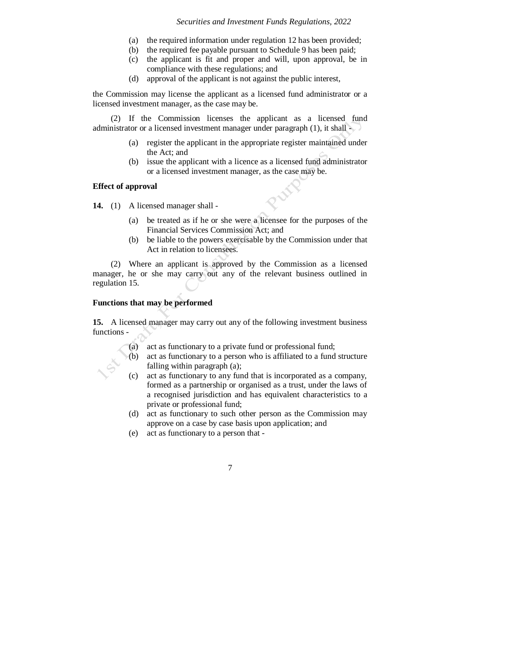- (a) the required information under regulation 12 has been provided;
- (b) the required fee payable pursuant to Schedule 9 has been paid;
- (c) the applicant is fit and proper and will, upon approval, be in compliance with these regulations; and
- (d) approval of the applicant is not against the public interest,

the Commission may license the applicant as a licensed fund administrator or a licensed investment manager, as the case may be.

(2) If the Commission licenses the applicant as a licensed fund administrator or a licensed investment manager under paragraph (1), it shall -

- (a) register the applicant in the appropriate register maintained under the Act; and
- (b) issue the applicant with a licence as a licensed fund administrator or a licensed investment manager, as the case may be.

## **Effect of approval**

**14.** (1) A licensed manager shall -

- (a) be treated as if he or she were a licensee for the purposes of the Financial Services Commission Act; and
- (b) be liable to the powers exercisable by the Commission under that Act in relation to licensees.

(2) Where an applicant is approved by the Commission as a licensed manager, he or she may carry out any of the relevant business outlined in regulation 15.

# **Functions that may be performed**

**15.** A licensed manager may carry out any of the following investment business functions -

- (a) act as functionary to a private fund or professional fund;
- (b) act as functionary to a person who is affiliated to a fund structure falling within paragraph (a);
- (c) act as functionary to any fund that is incorporated as a company, formed as a partnership or organised as a trust, under the laws of a recognised jurisdiction and has equivalent characteristics to a private or professional fund;
- (d) act as functionary to such other person as the Commission may approve on a case by case basis upon application; and
- (e) act as functionary to a person that -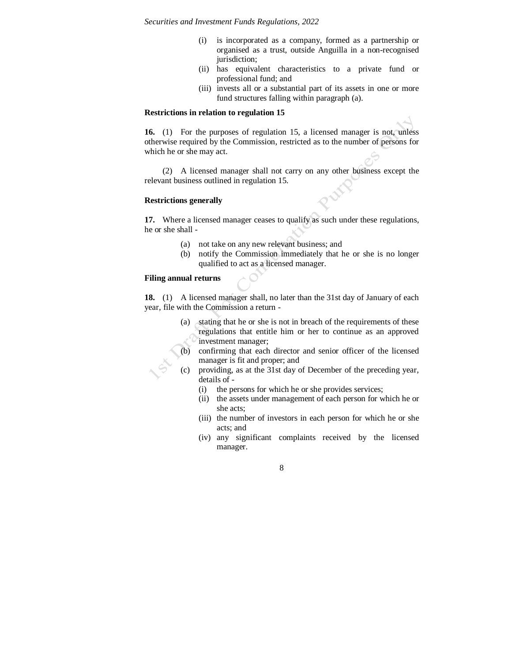- (i) is incorporated as a company, formed as a partnership or organised as a trust, outside Anguilla in a non-recognised jurisdiction;
- (ii) has equivalent characteristics to a private fund or professional fund; and
- (iii) invests all or a substantial part of its assets in one or more fund structures falling within paragraph (a).

#### **Restrictions in relation to regulation 15**

**16.** (1) For the purposes of regulation 15, a licensed manager is not, unless otherwise required by the Commission, restricted as to the number of persons for which he or she may act.

(2) A licensed manager shall not carry on any other business except the relevant business outlined in regulation 15.

#### **Restrictions generally**

**17.** Where a licensed manager ceases to qualify as such under these regulations, he or she shall -

- (a) not take on any new relevant business; and
- (b) notify the Commission immediately that he or she is no longer qualified to act as a licensed manager.

# **Filing annual returns**

**18.** (1) A licensed manager shall, no later than the 31st day of January of each year, file with the Commission a return -

- (a) stating that he or she is not in breach of the requirements of these regulations that entitle him or her to continue as an approved investment manager;
- confirming that each director and senior officer of the licensed manager is fit and proper; and
- providing, as at the 31st day of December of the preceding year, details of -
	- (i) the persons for which he or she provides services;
	- (ii) the assets under management of each person for which he or she acts;
	- (iii) the number of investors in each person for which he or she acts; and
	- (iv) any significant complaints received by the licensed manager.

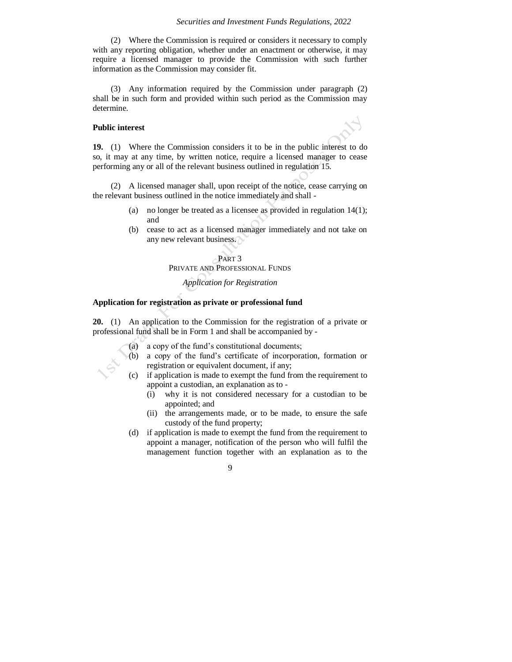(2) Where the Commission is required or considers it necessary to comply with any reporting obligation, whether under an enactment or otherwise, it may require a licensed manager to provide the Commission with such further information as the Commission may consider fit.

(3) Any information required by the Commission under paragraph (2) shall be in such form and provided within such period as the Commission may determine.

#### **Public interest**

**19.** (1) Where the Commission considers it to be in the public interest to do so, it may at any time, by written notice, require a licensed manager to cease performing any or all of the relevant business outlined in regulation 15.

(2) A licensed manager shall, upon receipt of the notice, cease carrying on the relevant business outlined in the notice immediately and shall -

- (a) no longer be treated as a licensee as provided in regulation 14(1); and
- (b) cease to act as a licensed manager immediately and not take on any new relevant business.

#### PART 3

PRIVATE AND PROFESSIONAL FUNDS

# *Application for Registration*

## **Application for registration as private or professional fund**

**20.** (1) An application to the Commission for the registration of a private or professional fund shall be in Form 1 and shall be accompanied by -

- (a) a copy of the fund's constitutional documents;
- (b) a copy of the fund's certificate of incorporation, formation or registration or equivalent document, if any;
- (c) if application is made to exempt the fund from the requirement to appoint a custodian, an explanation as to -
	- (i) why it is not considered necessary for a custodian to be appointed; and
	- (ii) the arrangements made, or to be made, to ensure the safe custody of the fund property;
- (d) if application is made to exempt the fund from the requirement to appoint a manager, notification of the person who will fulfil the management function together with an explanation as to the

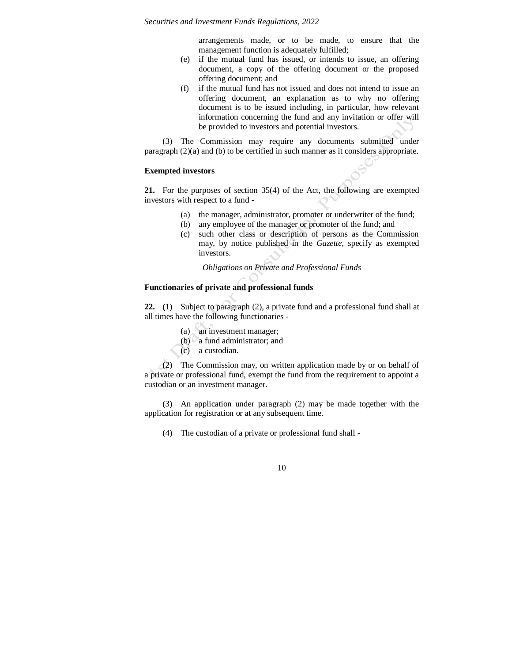arrangements made, or to be made, to ensure that the management function is adequately fulfilled;

- (e) if the mutual fund has issued, or intends to issue, an offering document, a copy of the offering document or the proposed offering document; and
- (f) if the mutual fund has not issued and does not intend to issue an offering document, an explanation as to why no offering document is to be issued including, in particular, how relevant information concerning the fund and any invitation or offer will be provided to investors and potential investors.

(3) The Commission may require any documents submitted under paragraph (2)(a) and (b) to be certified in such manner as it considers appropriate.

# **Exempted investors**

**21.** For the purposes of section 35(4) of the Act, the following are exempted investors with respect to a fund -

- (a) the manager, administrator, promoter or underwriter of the fund;
- (b) any employee of the manager or promoter of the fund; and
- (c) such other class or description of persons as the Commission may, by notice published in the *Gazette*, specify as exempted investors.

*Obligations on Private and Professional Funds*

# **Functionaries of private and professional funds**

**22. (**1) Subject to paragraph (2), a private fund and a professional fund shall at all times have the following functionaries -

- (a) an investment manager;
- (b)  $\alpha$  a fund administrator; and
- (c) a custodian.

(2) The Commission may, on written application made by or on behalf of a private or professional fund, exempt the fund from the requirement to appoint a custodian or an investment manager.

(3) An application under paragraph (2) may be made together with the application for registration or at any subsequent time.

(4) The custodian of a private or professional fund shall -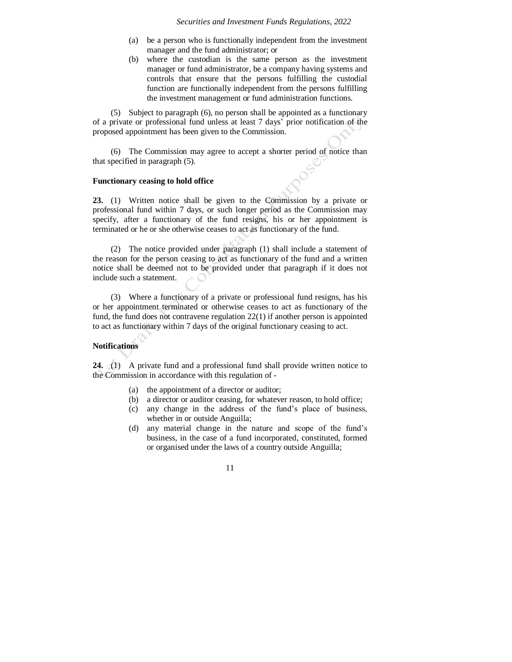- (a) be a person who is functionally independent from the investment manager and the fund administrator; or
- (b) where the custodian is the same person as the investment manager or fund administrator, be a company having systems and controls that ensure that the persons fulfilling the custodial function are functionally independent from the persons fulfilling the investment management or fund administration functions.

(5) Subject to paragraph (6), no person shall be appointed as a functionary of a private or professional fund unless at least 7 days' prior notification of the proposed appointment has been given to the Commission.

(6) The Commission may agree to accept a shorter period of notice than that specified in paragraph (5).

#### **Functionary ceasing to hold office**

**23.** (1) Written notice shall be given to the Commission by a private or professional fund within 7 days, or such longer period as the Commission may specify, after a functionary of the fund resigns, his or her appointment is terminated or he or she otherwise ceases to act as functionary of the fund.

(2) The notice provided under paragraph (1) shall include a statement of the reason for the person ceasing to act as functionary of the fund and a written notice shall be deemed not to be provided under that paragraph if it does not include such a statement.

(3) Where a functionary of a private or professional fund resigns, has his or her appointment terminated or otherwise ceases to act as functionary of the fund, the fund does not contravene regulation 22(1) if another person is appointed to act as functionary within 7 days of the original functionary ceasing to act.

#### **Notifications**

**24.** (1) A private fund and a professional fund shall provide written notice to the Commission in accordance with this regulation of -

- (a) the appointment of a director or auditor;
- (b) a director or auditor ceasing, for whatever reason, to hold office;
- (c) any change in the address of the fund's place of business, whether in or outside Anguilla;
- (d) any material change in the nature and scope of the fund's business, in the case of a fund incorporated, constituted, formed or organised under the laws of a country outside Anguilla;

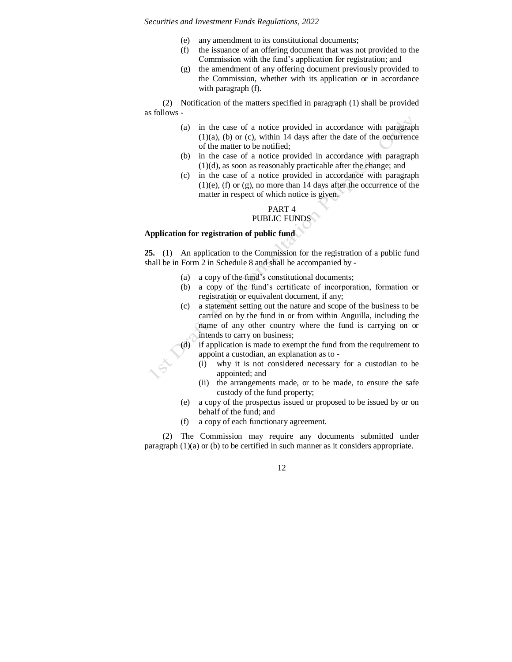- (e) any amendment to its constitutional documents;
- (f) the issuance of an offering document that was not provided to the Commission with the fund's application for registration; and
- (g) the amendment of any offering document previously provided to the Commission, whether with its application or in accordance with paragraph (f).

(2) Notification of the matters specified in paragraph (1) shall be provided as follows -

- (a) in the case of a notice provided in accordance with paragraph  $(1)(a)$ , (b) or (c), within 14 days after the date of the occurrence of the matter to be notified;
- (b) in the case of a notice provided in accordance with paragraph (1)(d), as soon as reasonably practicable after the change; and
- (c) in the case of a notice provided in accordance with paragraph  $(1)(e)$ ,  $(f)$  or  $(g)$ , no more than 14 days after the occurrence of the matter in respect of which notice is given.

# PART 4 PUBLIC FUNDS

# **Application for registration of public fund**

**25.** (1) An application to the Commission for the registration of a public fund shall be in Form 2 in Schedule 8 and shall be accompanied by -

- (a) a copy of the fund's constitutional documents;
- (b) a copy of the fund's certificate of incorporation, formation or registration or equivalent document, if any;
- (c) a statement setting out the nature and scope of the business to be carried on by the fund in or from within Anguilla, including the name of any other country where the fund is carrying on or intends to carry on business;
- (d) if application is made to exempt the fund from the requirement to appoint a custodian, an explanation as to -
	- (i) why it is not considered necessary for a custodian to be appointed; and
	- (ii) the arrangements made, or to be made, to ensure the safe custody of the fund property;
- (e) a copy of the prospectus issued or proposed to be issued by or on behalf of the fund; and
- (f) a copy of each functionary agreement.

(2) The Commission may require any documents submitted under paragraph (1)(a) or (b) to be certified in such manner as it considers appropriate.

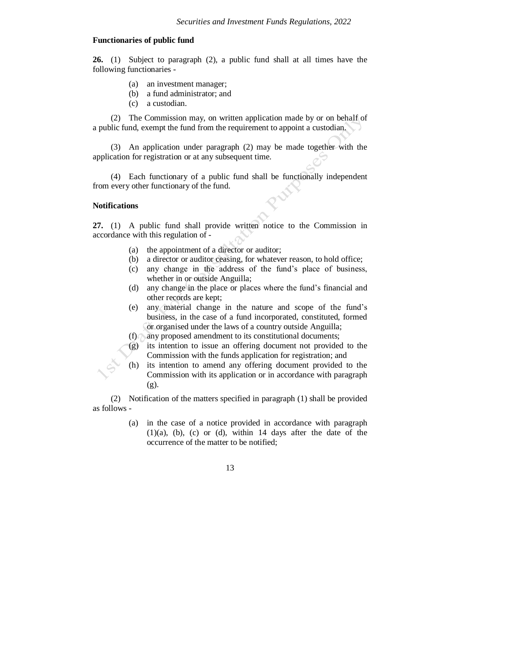## **Functionaries of public fund**

**26.** (1) Subject to paragraph (2), a public fund shall at all times have the following functionaries -

- (a) an investment manager;
- (b) a fund administrator; and
- (c) a custodian.

(2) The Commission may, on written application made by or on behalf of a public fund, exempt the fund from the requirement to appoint a custodian.

(3) An application under paragraph (2) may be made together with the application for registration or at any subsequent time.

(4) Each functionary of a public fund shall be functionally independent from every other functionary of the fund.

## **Notifications**

**27.** (1) A public fund shall provide written notice to the Commission in accordance with this regulation of -

- (a) the appointment of a director or auditor;
- (b) a director or auditor ceasing, for whatever reason, to hold office;
- (c) any change in the address of the fund's place of business, whether in or outside Anguilla;
- (d) any change in the place or places where the fund's financial and other records are kept;
- (e) any material change in the nature and scope of the fund's business, in the case of a fund incorporated, constituted, formed or organised under the laws of a country outside Anguilla;
- (f) any proposed amendment to its constitutional documents;
- (g) its intention to issue an offering document not provided to the Commission with the funds application for registration; and
- (h) its intention to amend any offering document provided to the Commission with its application or in accordance with paragraph (g).

(2) Notification of the matters specified in paragraph (1) shall be provided as follows -

> (a) in the case of a notice provided in accordance with paragraph  $(1)(a)$ ,  $(b)$ ,  $(c)$  or  $(d)$ , within 14 days after the date of the occurrence of the matter to be notified;

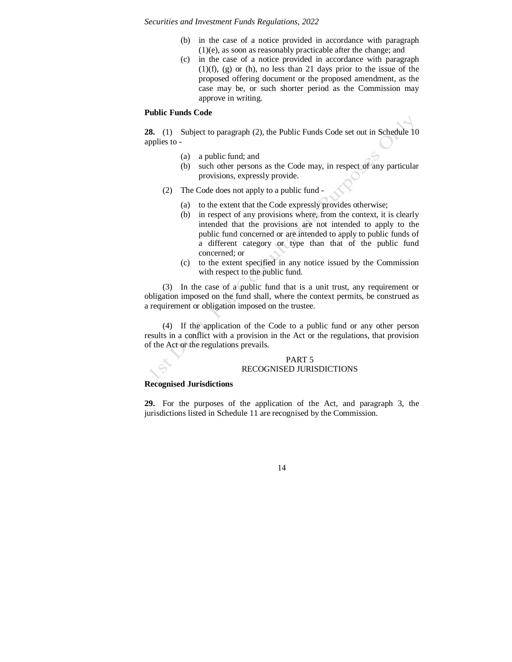- (b) in the case of a notice provided in accordance with paragraph (1)(e), as soon as reasonably practicable after the change; and
- (c) in the case of a notice provided in accordance with paragraph (1)(f), (g) or (h), no less than 21 days prior to the issue of the proposed offering document or the proposed amendment, as the case may be, or such shorter period as the Commission may approve in writing.

#### **Public Funds Code**

**28.** (1) Subject to paragraph (2), the Public Funds Code set out in Schedule 10 applies to -

- (a) a public fund; and
- (b) such other persons as the Code may, in respect of any particular provisions, expressly provide.
- (2) The Code does not apply to a public fund
	- (a) to the extent that the Code expressly provides otherwise;
	- (b) in respect of any provisions where, from the context, it is clearly intended that the provisions are not intended to apply to the public fund concerned or are intended to apply to public funds of a different category or type than that of the public fund concerned; or
	- (c) to the extent specified in any notice issued by the Commission with respect to the public fund.

(3) In the case of a public fund that is a unit trust, any requirement or obligation imposed on the fund shall, where the context permits, be construed as a requirement or obligation imposed on the trustee.

(4) If the application of the Code to a public fund or any other person results in a conflict with a provision in the Act or the regulations, that provision of the Act or the regulations prevails.

#### PART 5 RECOGNISED JURISDICTIONS

#### **Recognised Jurisdictions**

**29.** For the purposes of the application of the Act, and paragraph 3, the jurisdictions listed in Schedule 11 are recognised by the Commission.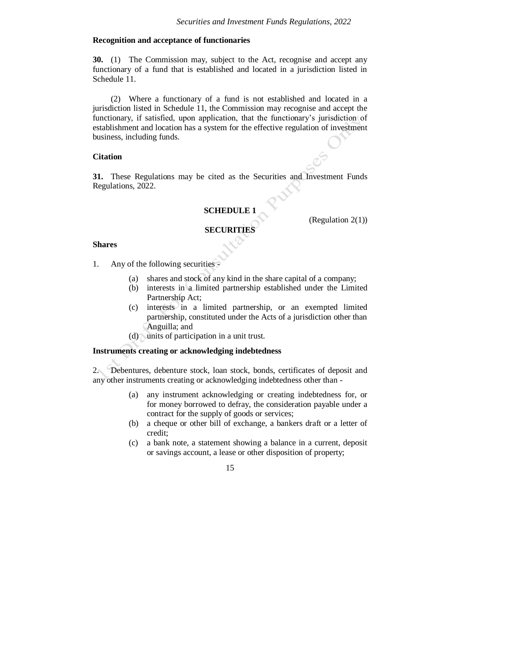# **Recognition and acceptance of functionaries**

**30.** (1) The Commission may, subject to the Act, recognise and accept any functionary of a fund that is established and located in a jurisdiction listed in Schedule 11.

(2) Where a functionary of a fund is not established and located in a jurisdiction listed in Schedule 11, the Commission may recognise and accept the functionary, if satisfied, upon application, that the functionary's jurisdiction of establishment and location has a system for the effective regulation of investment business, including funds.

### **Citation**

**31.** These Regulations may be cited as the Securities and Investment Funds Regulations, 2022.

## **SCHEDULE 1**

(Regulation 2(1))

# **SECURITIES**

#### **Shares**

- 1. Any of the following securities
	- (a) shares and stock of any kind in the share capital of a company;
	- (b) interests in a limited partnership established under the Limited Partnership Act;
	- (c) interests in a limited partnership, or an exempted limited partnership, constituted under the Acts of a jurisdiction other than Anguilla; and
	- (d) units of participation in a unit trust.

#### **Instruments creating or acknowledging indebtedness**

2. Debentures, debenture stock, loan stock, bonds, certificates of deposit and any other instruments creating or acknowledging indebtedness other than -

- (a) any instrument acknowledging or creating indebtedness for, or for money borrowed to defray, the consideration payable under a contract for the supply of goods or services;
- (b) a cheque or other bill of exchange, a bankers draft or a letter of credit;
- (c) a bank note, a statement showing a balance in a current, deposit or savings account, a lease or other disposition of property;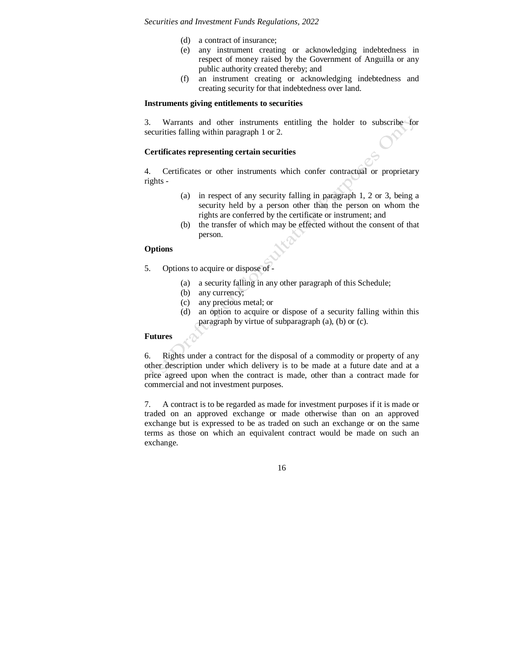- (d) a contract of insurance;
- (e) any instrument creating or acknowledging indebtedness in respect of money raised by the Government of Anguilla or any public authority created thereby; and
- (f) an instrument creating or acknowledging indebtedness and creating security for that indebtedness over land.

#### **Instruments giving entitlements to securities**

3. Warrants and other instruments entitling the holder to subscribe for securities falling within paragraph 1 or 2.

## **Certificates representing certain securities**

4. Certificates or other instruments which confer contractual or proprietary rights -

- (a) in respect of any security falling in paragraph 1, 2 or 3, being a security held by a person other than the person on whom the rights are conferred by the certificate or instrument; and
- (b) the transfer of which may be effected without the consent of that person.

# **Options**

- 5. Options to acquire or dispose of
	- (a) a security falling in any other paragraph of this Schedule;
	- (b) any currency;
	- (c) any precious metal; or
	- (d) an option to acquire or dispose of a security falling within this paragraph by virtue of subparagraph (a), (b) or (c).

# **Futures**

6. Rights under a contract for the disposal of a commodity or property of any other description under which delivery is to be made at a future date and at a price agreed upon when the contract is made, other than a contract made for commercial and not investment purposes.

7. A contract is to be regarded as made for investment purposes if it is made or traded on an approved exchange or made otherwise than on an approved exchange but is expressed to be as traded on such an exchange or on the same terms as those on which an equivalent contract would be made on such an exchange.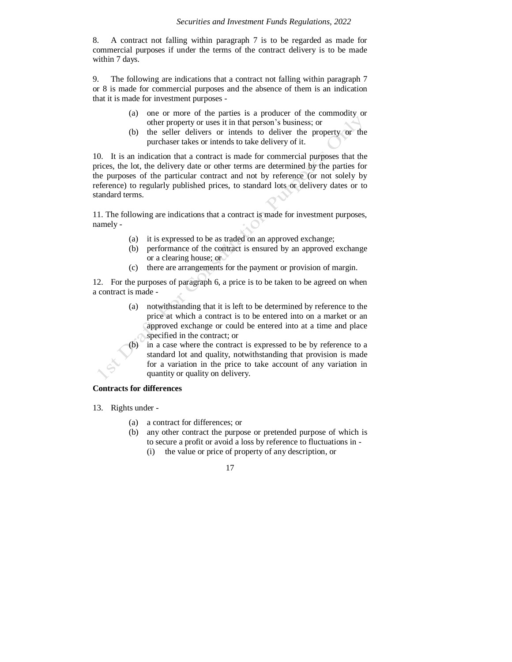8. A contract not falling within paragraph 7 is to be regarded as made for commercial purposes if under the terms of the contract delivery is to be made within 7 days.

9. The following are indications that a contract not falling within paragraph 7 or 8 is made for commercial purposes and the absence of them is an indication that it is made for investment purposes -

- (a) one or more of the parties is a producer of the commodity or other property or uses it in that person's business; or
- (b) the seller delivers or intends to deliver the property or the purchaser takes or intends to take delivery of it.

10. It is an indication that a contract is made for commercial purposes that the prices, the lot, the delivery date or other terms are determined by the parties for the purposes of the particular contract and not by reference (or not solely by reference) to regularly published prices, to standard lots or delivery dates or to standard terms.

11. The following are indications that a contract is made for investment purposes, namely -

- (a) it is expressed to be as traded on an approved exchange;
- (b) performance of the contract is ensured by an approved exchange or a clearing house; or
- (c) there are arrangements for the payment or provision of margin.

12. For the purposes of paragraph 6, a price is to be taken to be agreed on when a contract is made -

> (a) notwithstanding that it is left to be determined by reference to the price at which a contract is to be entered into on a market or an approved exchange or could be entered into at a time and place specified in the contract; or

> (b) in a case where the contract is expressed to be by reference to a standard lot and quality, notwithstanding that provision is made for a variation in the price to take account of any variation in quantity or quality on delivery.

## **Contracts for differences**

- 13. Rights under
	- (a) a contract for differences; or
	- (b) any other contract the purpose or pretended purpose of which is to secure a profit or avoid a loss by reference to fluctuations in - (i) the value or price of property of any description, or
		- 17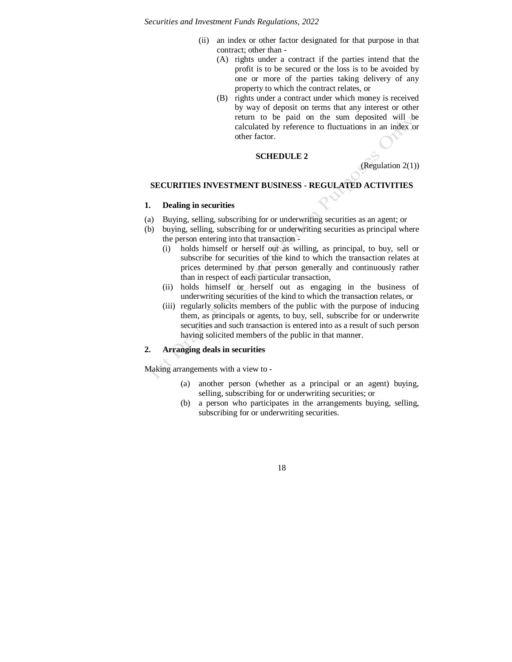- (ii) an index or other factor designated for that purpose in that contract; other than -
	- (A) rights under a contract if the parties intend that the profit is to be secured or the loss is to be avoided by one or more of the parties taking delivery of any property to which the contract relates, or
	- (B) rights under a contract under which money is received by way of deposit on terms that any interest or other return to be paid on the sum deposited will be calculated by reference to fluctuations in an index or other factor.

## **SCHEDULE 2**

(Regulation 2(1))

#### **SECURITIES INVESTMENT BUSINESS - REGULATED ACTIVITIES**

## **1. Dealing in securities**

- (a) Buying, selling, subscribing for or underwriting securities as an agent; or
- (b) buying, selling, subscribing for or underwriting securities as principal where the person entering into that transaction -
	- (i) holds himself or herself out as willing, as principal, to buy, sell or subscribe for securities of the kind to which the transaction relates at prices determined by that person generally and continuously rather than in respect of each particular transaction,
	- (ii) holds himself or herself out as engaging in the business of underwriting securities of the kind to which the transaction relates, or
	- (iii) regularly solicits members of the public with the purpose of inducing them, as principals or agents, to buy, sell, subscribe for or underwrite securities and such transaction is entered into as a result of such person having solicited members of the public in that manner.

# **2. Arranging deals in securities**

Making arrangements with a view to -

- (a) another person (whether as a principal or an agent) buying, selling, subscribing for or underwriting securities; or
- (b) a person who participates in the arrangements buying, selling, subscribing for or underwriting securities.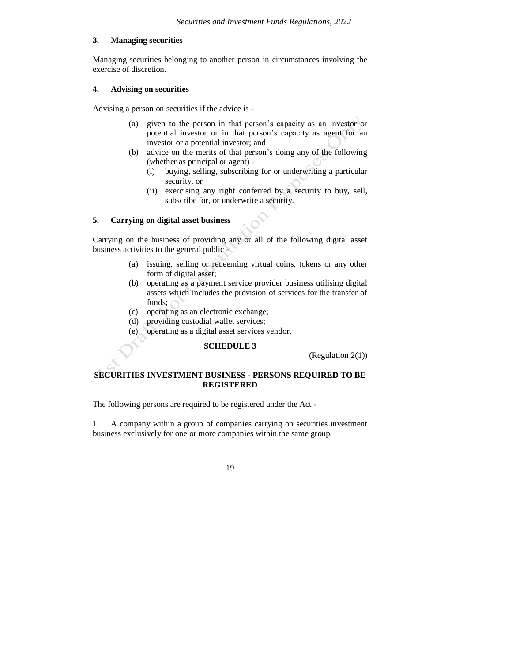# **3. Managing securities**

Managing securities belonging to another person in circumstances involving the exercise of discretion.

## **4. Advising on securities**

Advising a person on securities if the advice is -

- (a) given to the person in that person's capacity as an investor or potential investor or in that person's capacity as agent for an investor or a potential investor; and
- (b) advice on the merits of that person's doing any of the following (whether as principal or agent) -
	- (i) buying, selling, subscribing for or underwriting a particular security, or
	- (ii) exercising any right conferred by a security to buy, sell, subscribe for, or underwrite a security.

# **5. Carrying on digital asset business**

Carrying on the business of providing any or all of the following digital asset business activities to the general public -

- (a) issuing, selling or redeeming virtual coins, tokens or any other form of digital asset;
- (b) operating as a payment service provider business utilising digital assets which includes the provision of services for the transfer of funds;
- (c) operating as an electronic exchange;
- (d) providing custodial wallet services;
- (e) operating as a digital asset services vendor.

## **SCHEDULE 3**

(Regulation 2(1))

# **SECURITIES INVESTMENT BUSINESS - PERSONS REQUIRED TO BE REGISTERED**

The following persons are required to be registered under the Act -

1. A company within a group of companies carrying on securities investment business exclusively for one or more companies within the same group.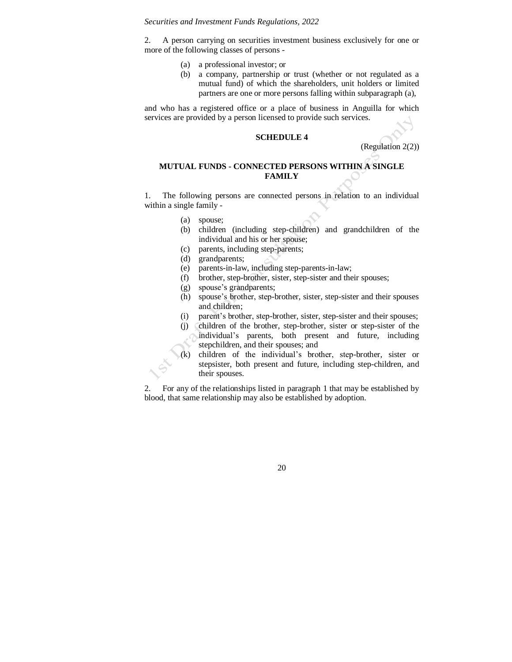2. A person carrying on securities investment business exclusively for one or more of the following classes of persons -

- (a) a professional investor; or
- (b) a company, partnership or trust (whether or not regulated as a mutual fund) of which the shareholders, unit holders or limited partners are one or more persons falling within subparagraph (a),

and who has a registered office or a place of business in Anguilla for which services are provided by a person licensed to provide such services.

## **SCHEDULE 4**

(Regulation 2(2))

# **MUTUAL FUNDS - CONNECTED PERSONS WITHIN A SINGLE FAMILY**

1. The following persons are connected persons in relation to an individual within a single family -

- (a) spouse;
- (b) children (including step-children) and grandchildren of the individual and his or her spouse;
- (c) parents, including step-parents;
- (d) grandparents;
- (e) parents-in-law, including step-parents-in-law;
- (f) brother, step-brother, sister, step-sister and their spouses;
- (g) spouse's grandparents;
- (h) spouse's brother, step-brother, sister, step-sister and their spouses and children;
- (i) parent's brother, step-brother, sister, step-sister and their spouses;
- (j) children of the brother, step-brother, sister or step-sister of the individual's parents, both present and future, including stepchildren, and their spouses; and

(k) children of the individual's brother, step-brother, sister or stepsister, both present and future, including step-children, and their spouses.

2. For any of the relationships listed in paragraph 1 that may be established by blood, that same relationship may also be established by adoption.

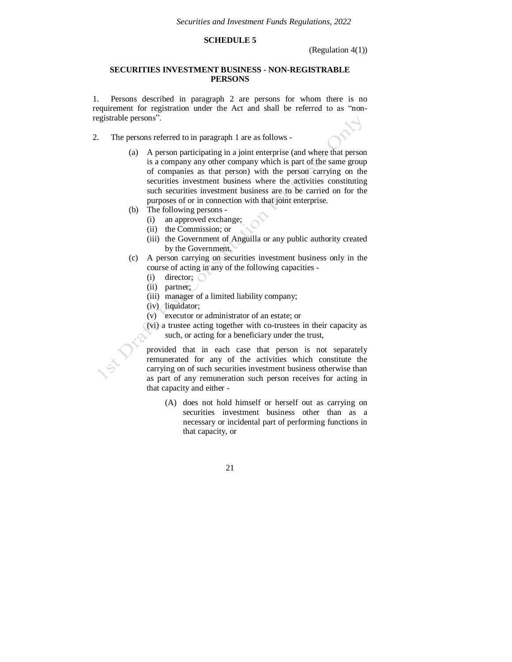# **SCHEDULE 5**

(Regulation 4(1))

## **SECURITIES INVESTMENT BUSINESS - NON-REGISTRABLE PERSONS**

1. Persons described in paragraph 2 are persons for whom there is no requirement for registration under the Act and shall be referred to as "nonregistrable persons".

- 2. The persons referred to in paragraph 1 are as follows
	- (a) A person participating in a joint enterprise (and where that person is a company any other company which is part of the same group of companies as that person) with the person carrying on the securities investment business where the activities constituting such securities investment business are to be carried on for the purposes of or in connection with that joint enterprise.
	- (b) The following persons
		- (i) an approved exchange;
		- (ii) the Commission; or
		- (iii) the Government of Anguilla or any public authority created by the Government.
	- (c) A person carrying on securities investment business only in the course of acting in any of the following capacities -
		- $(i)$  director;  $\bigcap$
		- (ii) partner;
		- (iii) manager of a limited liability company;
		- (iv) liquidator;
		- (v) executor or administrator of an estate; or
		- (vi) a trustee acting together with co-trustees in their capacity as such, or acting for a beneficiary under the trust,

provided that in each case that person is not separately remunerated for any of the activities which constitute the carrying on of such securities investment business otherwise than as part of any remuneration such person receives for acting in that capacity and either -

(A) does not hold himself or herself out as carrying on securities investment business other than as a necessary or incidental part of performing functions in that capacity, or

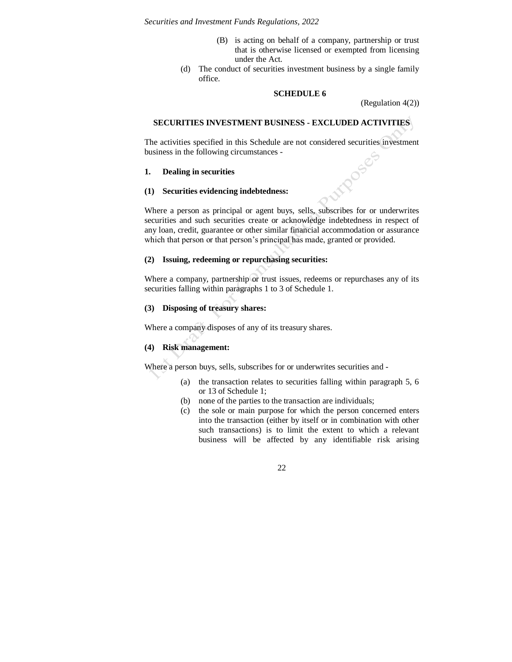- (B) is acting on behalf of a company, partnership or trust that is otherwise licensed or exempted from licensing under the Act.
- (d) The conduct of securities investment business by a single family office.

## **SCHEDULE 6**

(Regulation 4(2))

## **SECURITIES INVESTMENT BUSINESS - EXCLUDED ACTIVITIES**

The activities specified in this Schedule are not considered securities investment business in the following circumstances -

#### **1. Dealing in securities**

#### **(1) Securities evidencing indebtedness:**

Where a person as principal or agent buys, sells, subscribes for or underwrites securities and such securities create or acknowledge indebtedness in respect of any loan, credit, guarantee or other similar financial accommodation or assurance which that person or that person's principal has made, granted or provided.

## **(2) Issuing, redeeming or repurchasing securities:**

Where a company, partnership or trust issues, redeems or repurchases any of its securities falling within paragraphs 1 to 3 of Schedule 1.

# **(3) Disposing of treasury shares:**

Where a company disposes of any of its treasury shares.

## **(4) Risk management:**

Where a person buys, sells, subscribes for or underwrites securities and -

- (a) the transaction relates to securities falling within paragraph 5, 6 or 13 of Schedule 1;
- (b) none of the parties to the transaction are individuals;
- (c) the sole or main purpose for which the person concerned enters into the transaction (either by itself or in combination with other such transactions) is to limit the extent to which a relevant business will be affected by any identifiable risk arising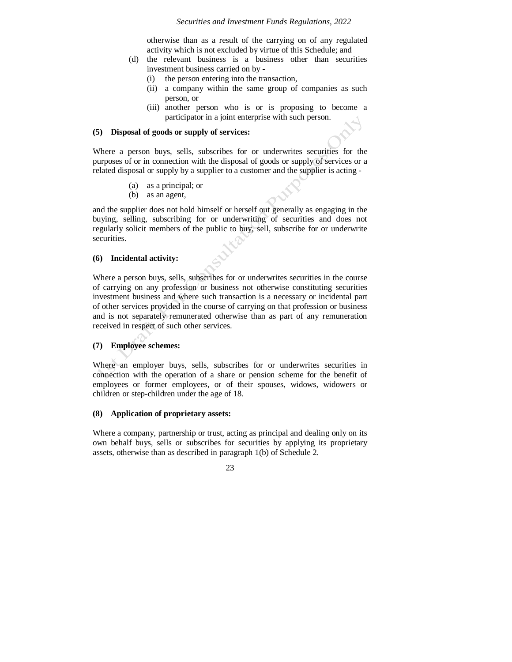otherwise than as a result of the carrying on of any regulated activity which is not excluded by virtue of this Schedule; and

- (d) the relevant business is a business other than securities investment business carried on by -
	- (i) the person entering into the transaction,
	- (ii) a company within the same group of companies as such person, or
	- (iii) another person who is or is proposing to become a participator in a joint enterprise with such person.

#### **(5) Disposal of goods or supply of services:**

Where a person buys, sells, subscribes for or underwrites securities for the purposes of or in connection with the disposal of goods or supply of services or a related disposal or supply by a supplier to a customer and the supplier is acting -

- (a) as a principal; or
- (b) as an agent,

and the supplier does not hold himself or herself out generally as engaging in the buying, selling, subscribing for or underwriting of securities and does not regularly solicit members of the public to buy, sell, subscribe for or underwrite securities.

## **(6) Incidental activity:**

Where a person buys, sells, subscribes for or underwrites securities in the course of carrying on any profession or business not otherwise constituting securities investment business and where such transaction is a necessary or incidental part of other services provided in the course of carrying on that profession or business and is not separately remunerated otherwise than as part of any remuneration received in respect of such other services.

# **(7) Employee schemes:**

Where an employer buys, sells, subscribes for or underwrites securities in connection with the operation of a share or pension scheme for the benefit of employees or former employees, or of their spouses, widows, widowers or children or step-children under the age of 18.

## **(8) Application of proprietary assets:**

Where a company, partnership or trust, acting as principal and dealing only on its own behalf buys, sells or subscribes for securities by applying its proprietary assets, otherwise than as described in paragraph 1(b) of Schedule 2.

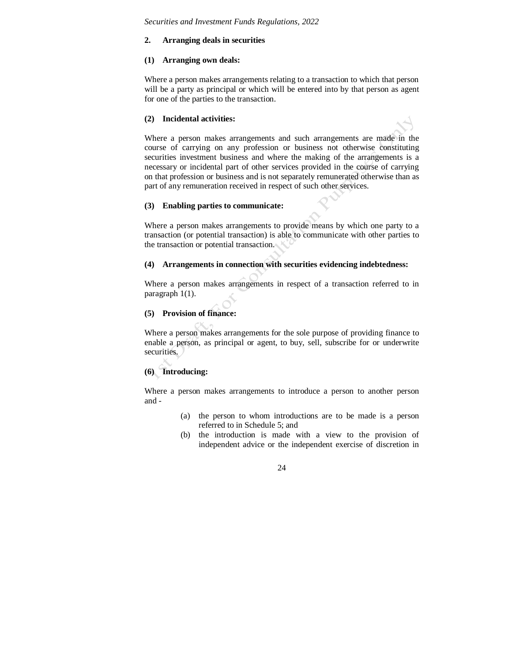## **2. Arranging deals in securities**

#### **(1) Arranging own deals:**

Where a person makes arrangements relating to a transaction to which that person will be a party as principal or which will be entered into by that person as agent for one of the parties to the transaction.

#### **(2) Incidental activities:**



## **(3) Enabling parties to communicate:**

Where a person makes arrangements to provide means by which one party to a transaction (or potential transaction) is able to communicate with other parties to the transaction or potential transaction.

#### **(4) Arrangements in connection with securities evidencing indebtedness:**

Where a person makes arrangements in respect of a transaction referred to in paragraph 1(1).

#### **(5) Provision of finance:**

Where a person makes arrangements for the sole purpose of providing finance to enable a person, as principal or agent, to buy, sell, subscribe for or underwrite securities.

## **(6) Introducing:**

Where a person makes arrangements to introduce a person to another person and -

- (a) the person to whom introductions are to be made is a person referred to in Schedule 5; and
- (b) the introduction is made with a view to the provision of independent advice or the independent exercise of discretion in

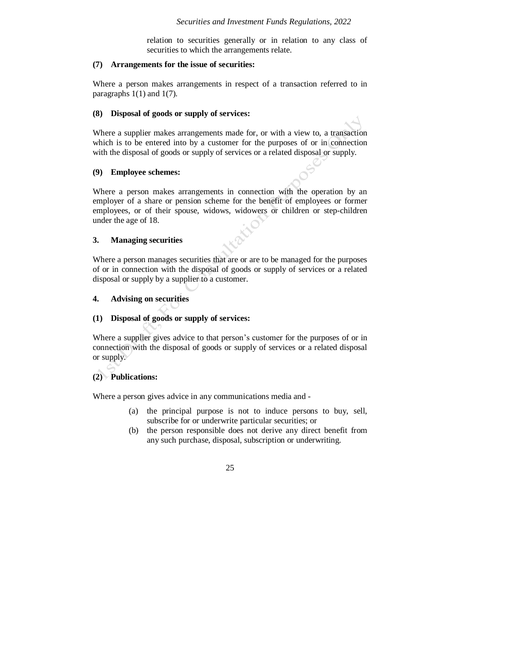relation to securities generally or in relation to any class of securities to which the arrangements relate.

## **(7) Arrangements for the issue of securities:**

Where a person makes arrangements in respect of a transaction referred to in paragraphs  $1(1)$  and  $1(7)$ .

#### **(8) Disposal of goods or supply of services:**

Where a supplier makes arrangements made for, or with a view to, a transaction which is to be entered into by a customer for the purposes of or in connection with the disposal of goods or supply of services or a related disposal or supply.

## **(9) Employee schemes:**

Where a person makes arrangements in connection with the operation by an employer of a share or pension scheme for the benefit of employees or former employees, or of their spouse, widows, widowers or children or step-children under the age of 18.

## **3. Managing securities**

Where a person manages securities that are or are to be managed for the purposes of or in connection with the disposal of goods or supply of services or a related disposal or supply by a supplier to a customer.

## **4. Advising on securities**

## **(1) Disposal of goods or supply of services:**

Where a supplier gives advice to that person's customer for the purposes of or in connection with the disposal of goods or supply of services or a related disposal or supply.

## **(2) Publications:**

Where a person gives advice in any communications media and -

- (a) the principal purpose is not to induce persons to buy, sell, subscribe for or underwrite particular securities; or
- (b) the person responsible does not derive any direct benefit from any such purchase, disposal, subscription or underwriting.

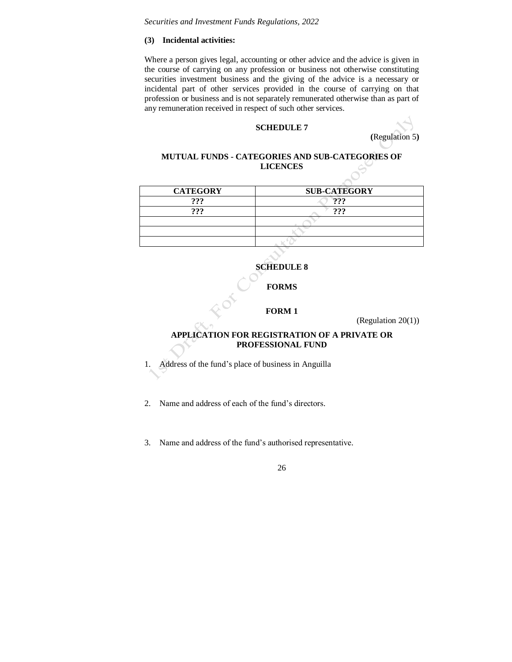# **(3) Incidental activities:**

Where a person gives legal, accounting or other advice and the advice is given in the course of carrying on any profession or business not otherwise constituting securities investment business and the giving of the advice is a necessary or incidental part of other services provided in the course of carrying on that profession or business and is not separately remunerated otherwise than as part of any remuneration received in respect of such other services.

#### **SCHEDULE 7**

**(**Regulation 5**)**

# **MUTUAL FUNDS - CATEGORIES AND SUB-CATEGORIES OF LICENCES**

| <b>SUB-CATEGORY</b> |
|---------------------|
| ດດດ                 |
| 999                 |
|                     |
|                     |
|                     |
|                     |

# **SCHEDULE 8**

## **FORMS**

#### **FORM 1**

(Regulation 20(1))

# **APPLICATION FOR REGISTRATION OF A PRIVATE OR PROFESSIONAL FUND**

- 1. Address of the fund's place of business in Anguilla
- 2. Name and address of each of the fund's directors.
- 3. Name and address of the fund's authorised representative.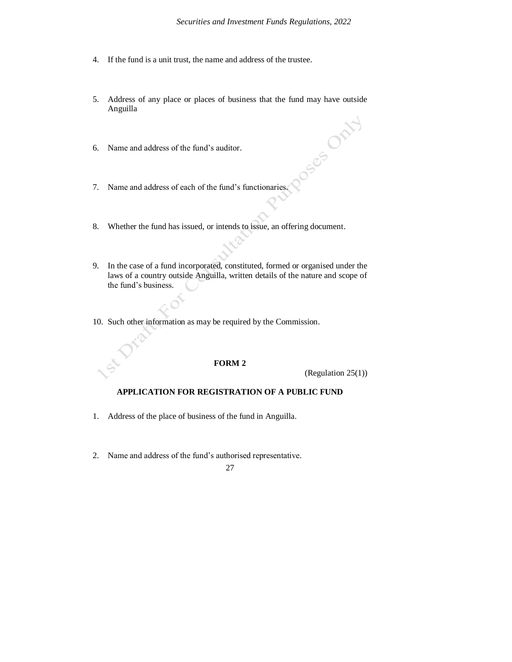- 4. If the fund is a unit trust, the name and address of the trustee.
- 5. Address of any place or places of business that the fund may have outside Anguilla
- 6. Name and address of the fund's auditor.
- 7. Name and address of each of the fund's functionaries.
- 8. Whether the fund has issued, or intends to issue, an offering document.
- 9. In the case of a fund incorporated, constituted, formed or organised under the laws of a country outside Anguilla, written details of the nature and scope of the fund's business.
- 10. Such other information as may be required by the Commission.

## **FORM 2**

(Regulation 25(1))

CS OFFF

## **APPLICATION FOR REGISTRATION OF A PUBLIC FUND**

- 1. Address of the place of business of the fund in Anguilla.
- 2. Name and address of the fund's authorised representative.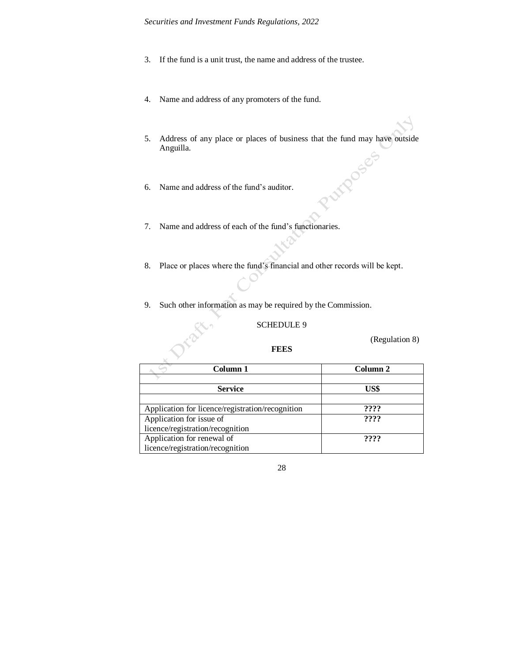- 3. If the fund is a unit trust, the name and address of the trustee.
- 4. Name and address of any promoters of the fund.
- 5. Address of any place or places of business that the fund may have outside Anguilla. **ITPOSES**
- 6. Name and address of the fund's auditor.
- 7. Name and address of each of the fund's functionaries.
- 8. Place or places where the fund's financial and other records will be kept.
- 9. Such other information as may be required by the Commission.

## SCHEDULE 9

(Regulation 8)

# **FEES**

| Column 1                                         | Column 2 |
|--------------------------------------------------|----------|
| <b>Service</b>                                   | US\$     |
| Application for licence/registration/recognition | ????     |
| Application for issue of                         | ????     |
| licence/registration/recognition                 |          |
| Application for renewal of                       | ????     |
| licence/registration/recognition                 |          |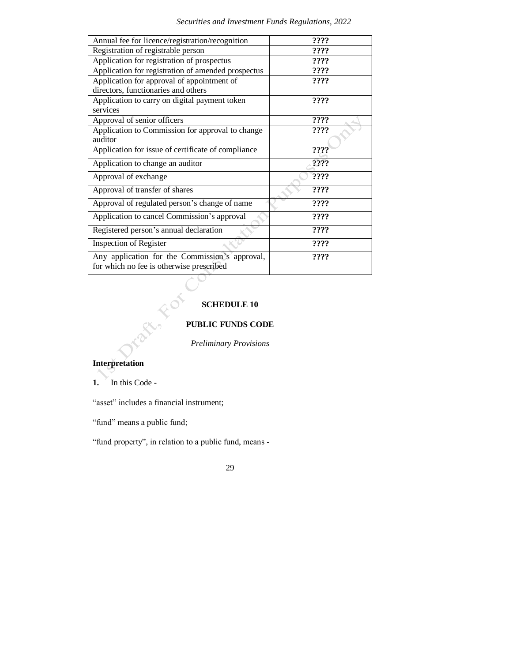| Annual fee for licence/registration/recognition                                            | ????            |
|--------------------------------------------------------------------------------------------|-----------------|
| Registration of registrable person                                                         | ????            |
| Application for registration of prospectus                                                 | ????            |
| Application for registration of amended prospectus                                         | ????            |
| Application for approval of appointment of                                                 | ????            |
| directors, functionaries and others                                                        |                 |
| Application to carry on digital payment token                                              | 2222            |
| services                                                                                   |                 |
| Approval of senior officers                                                                | $??\mathord ??$ |
| Application to Commission for approval to change                                           | ????            |
| auditor                                                                                    |                 |
| Application for issue of certificate of compliance                                         | ????            |
| Application to change an auditor                                                           | ????            |
| Approval of exchange                                                                       | ????            |
| Approval of transfer of shares                                                             | ????            |
| Approval of regulated person's change of name                                              | ????            |
| Application to cancel Commission's approval                                                | ????            |
| Registered person's annual declaration                                                     | ????            |
| <b>Inspection of Register</b>                                                              | ????            |
| Any application for the Commission's approval,<br>for which no fee is otherwise prescribed | 2222            |

# **SCHEDULE 10**

# **PUBLIC FUNDS CODE**

*Preliminary Provisions*

# **Interpretation**

1. In this Code -

"asset" includes a financial instrument;

"fund" means a public fund;

"fund property", in relation to a public fund, means -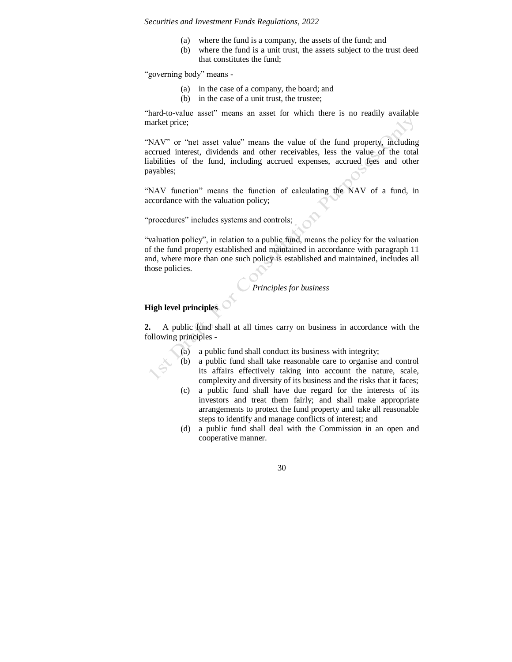- (a) where the fund is a company, the assets of the fund; and
- (b) where the fund is a unit trust, the assets subject to the trust deed that constitutes the fund;

"governing body" means -

- (a) in the case of a company, the board; and
- (b) in the case of a unit trust, the trustee;

"hard-to-value asset" means an asset for which there is no readily available market price;

"NAV" or "net asset value" means the value of the fund property, including accrued interest, dividends and other receivables, less the value of the total liabilities of the fund, including accrued expenses, accrued fees and other payables;

"NAV function" means the function of calculating the NAV of a fund, in accordance with the valuation policy;

"procedures" includes systems and controls;

"valuation policy", in relation to a public fund, means the policy for the valuation of the fund property established and maintained in accordance with paragraph 11 and, where more than one such policy is established and maintained, includes all those policies.

*Principles for business*

# **High level principles**

**2.** A public fund shall at all times carry on business in accordance with the following principles -

- (a) a public fund shall conduct its business with integrity;
- (b) a public fund shall take reasonable care to organise and control its affairs effectively taking into account the nature, scale, complexity and diversity of its business and the risks that it faces;
- (c) a public fund shall have due regard for the interests of its investors and treat them fairly; and shall make appropriate arrangements to protect the fund property and take all reasonable steps to identify and manage conflicts of interest; and
- (d) a public fund shall deal with the Commission in an open and cooperative manner.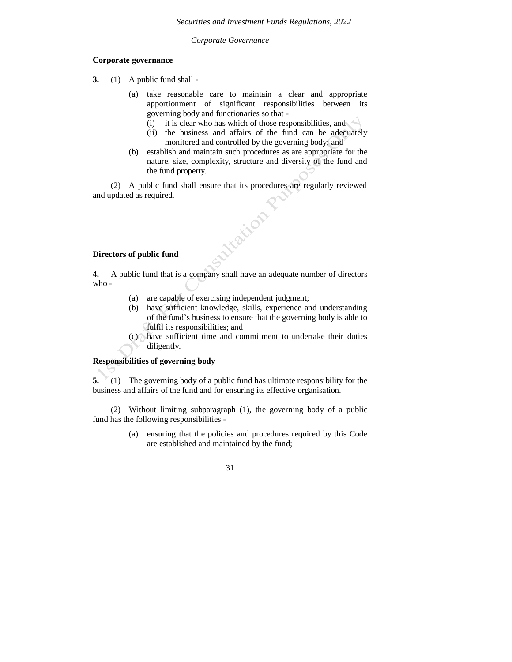*Corporate Governance*

## **Corporate governance**

**3.** (1) A public fund shall -

- (a) take reasonable care to maintain a clear and appropriate apportionment of significant responsibilities between its governing body and functionaries so that -
	- (i) it is clear who has which of those responsibilities, and
	- (ii) the business and affairs of the fund can be adequately monitored and controlled by the governing body; and
- (b) establish and maintain such procedures as are appropriate for the nature, size, complexity, structure and diversity of the fund and the fund property.

(2) A public fund shall ensure that its procedures are regularly reviewed and updated as required. **Nizion P.** 

# **Directors of public fund**

**4.** A public fund that is a company shall have an adequate number of directors who -

- (a) are capable of exercising independent judgment;
- (b) have sufficient knowledge, skills, experience and understanding of the fund's business to ensure that the governing body is able to fulfil its responsibilities; and
- (c) have sufficient time and commitment to undertake their duties diligently.

## **Responsibilities of governing body**

**5.** (1) The governing body of a public fund has ultimate responsibility for the business and affairs of the fund and for ensuring its effective organisation.

(2) Without limiting subparagraph (1), the governing body of a public fund has the following responsibilities -

> (a) ensuring that the policies and procedures required by this Code are established and maintained by the fund;

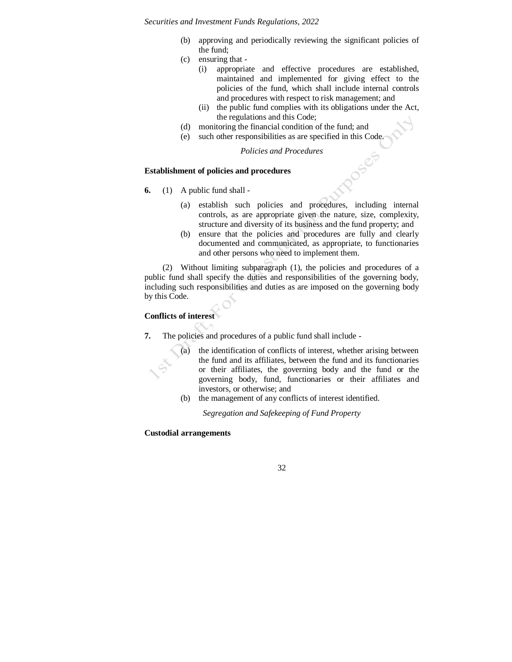- (b) approving and periodically reviewing the significant policies of the fund;
- (c) ensuring that
	- (i) appropriate and effective procedures are established, maintained and implemented for giving effect to the policies of the fund, which shall include internal controls and procedures with respect to risk management; and
	- (ii) the public fund complies with its obligations under the Act, the regulations and this Code;
- (d) monitoring the financial condition of the fund; and
- (e) such other responsibilities as are specified in this Code.

*Policies and Procedures*

## **Establishment of policies and procedures**

- **6.** (1) A public fund shall
	- (a) establish such policies and procedures, including internal controls, as are appropriate given the nature, size, complexity, structure and diversity of its business and the fund property; and
	- (b) ensure that the policies and procedures are fully and clearly documented and communicated, as appropriate, to functionaries and other persons who need to implement them.

(2) Without limiting subparagraph (1), the policies and procedures of a public fund shall specify the duties and responsibilities of the governing body, including such responsibilities and duties as are imposed on the governing body by this Code.

# **Conflicts of interest**

- **7.** The policies and procedures of a public fund shall include
	- the identification of conflicts of interest, whether arising between the fund and its affiliates, between the fund and its functionaries or their affiliates, the governing body and the fund or the governing body, fund, functionaries or their affiliates and investors, or otherwise; and
	- (b) the management of any conflicts of interest identified.

*Segregation and Safekeeping of Fund Property*

# **Custodial arrangements**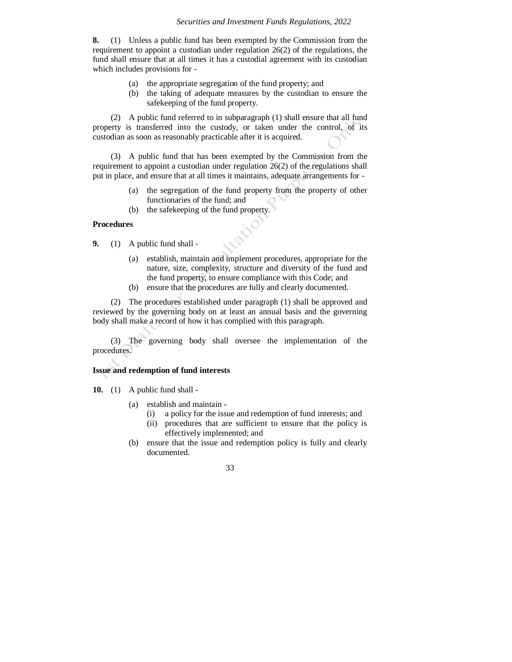**8.** (1) Unless a public fund has been exempted by the Commission from the requirement to appoint a custodian under regulation 26(2) of the regulations, the fund shall ensure that at all times it has a custodial agreement with its custodian which includes provisions for -

- (a) the appropriate segregation of the fund property; and
- (b) the taking of adequate measures by the custodian to ensure the safekeeping of the fund property.

(2) A public fund referred to in subparagraph (1) shall ensure that all fund property is transferred into the custody, or taken under the control, of its custodian as soon as reasonably practicable after it is acquired.

(3) A public fund that has been exempted by the Commission from the requirement to appoint a custodian under regulation 26(2) of the regulations shall put in place, and ensure that at all times it maintains, adequate arrangements for -

- (a) the segregation of the fund property from the property of other functionaries of the fund; and
- (b) the safekeeping of the fund property.

#### **Procedures**

**9.** (1) A public fund shall -

- (a) establish, maintain and implement procedures, appropriate for the nature, size, complexity, structure and diversity of the fund and the fund property, to ensure compliance with this Code; and
- (b) ensure that the procedures are fully and clearly documented.

(2) The procedures established under paragraph (1) shall be approved and reviewed by the governing body on at least an annual basis and the governing body shall make a record of how it has complied with this paragraph.

(3) The governing body shall oversee the implementation of the procedures.

#### **Issue and redemption of fund interests**

**10.** (1) A public fund shall -

- (a) establish and maintain
	- (i) a policy for the issue and redemption of fund interests; and
	- (ii) procedures that are sufficient to ensure that the policy is effectively implemented; and
- (b) ensure that the issue and redemption policy is fully and clearly documented.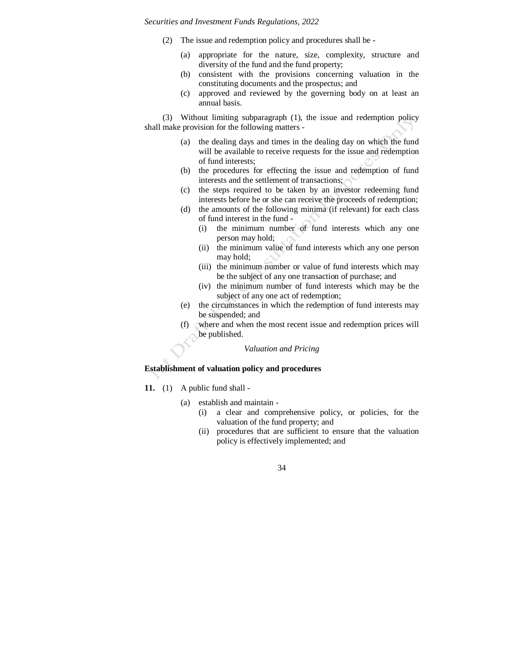- (2) The issue and redemption policy and procedures shall be
	- (a) appropriate for the nature, size, complexity, structure and diversity of the fund and the fund property;
	- (b) consistent with the provisions concerning valuation in the constituting documents and the prospectus; and
	- (c) approved and reviewed by the governing body on at least an annual basis.

(3) Without limiting subparagraph (1), the issue and redemption policy shall make provision for the following matters -

- (a) the dealing days and times in the dealing day on which the fund will be available to receive requests for the issue and redemption of fund interests;
- (b) the procedures for effecting the issue and redemption of fund interests and the settlement of transactions;
- (c) the steps required to be taken by an investor redeeming fund interests before he or she can receive the proceeds of redemption;
- (d) the amounts of the following minima (if relevant) for each class of fund interest in the fund -
	- (i) the minimum number of fund interests which any one person may hold;
	- (ii) the minimum value of fund interests which any one person may hold;
	- (iii) the minimum number or value of fund interests which may be the subject of any one transaction of purchase; and
	- (iv) the minimum number of fund interests which may be the subject of any one act of redemption;
- (e) the circumstances in which the redemption of fund interests may be suspended; and
- (f) where and when the most recent issue and redemption prices will be published.

#### *Valuation and Pricing*

## **Establishment of valuation policy and procedures**

- **11.** (1) A public fund shall
	- (a) establish and maintain
		- (i) a clear and comprehensive policy, or policies, for the valuation of the fund property; and
		- (ii) procedures that are sufficient to ensure that the valuation policy is effectively implemented; and

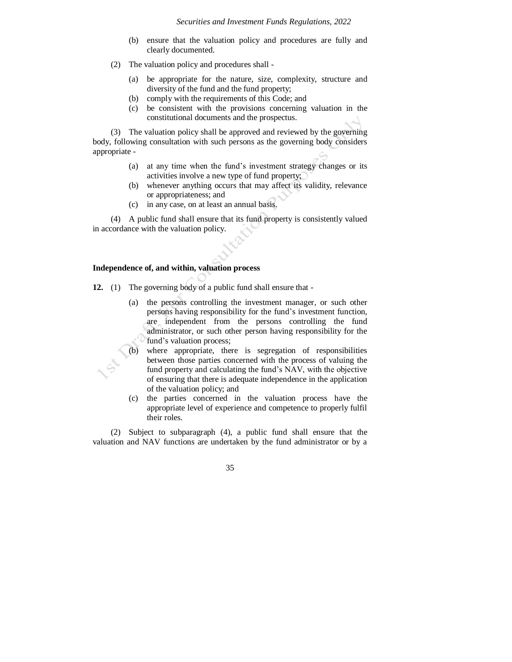- (b) ensure that the valuation policy and procedures are fully and clearly documented.
- (2) The valuation policy and procedures shall
	- (a) be appropriate for the nature, size, complexity, structure and diversity of the fund and the fund property;
	- (b) comply with the requirements of this Code; and
	- (c) be consistent with the provisions concerning valuation in the constitutional documents and the prospectus.

(3) The valuation policy shall be approved and reviewed by the governing body, following consultation with such persons as the governing body considers appropriate -

- (a) at any time when the fund's investment strategy changes or its activities involve a new type of fund property;
- (b) whenever anything occurs that may affect its validity, relevance or appropriateness; and
- (c) in any case, on at least an annual basis.

(4) A public fund shall ensure that its fund property is consistently valued in accordance with the valuation policy.

#### **Independence of, and within, valuation process**

- **12.** (1) The governing body of a public fund shall ensure that
	- (a) the persons controlling the investment manager, or such other persons having responsibility for the fund's investment function, are independent from the persons controlling the fund administrator, or such other person having responsibility for the fund's valuation process;
	- where appropriate, there is segregation of responsibilities between those parties concerned with the process of valuing the fund property and calculating the fund's NAV, with the objective of ensuring that there is adequate independence in the application of the valuation policy; and
	- (c) the parties concerned in the valuation process have the appropriate level of experience and competence to properly fulfil their roles.

(2) Subject to subparagraph (4), a public fund shall ensure that the valuation and NAV functions are undertaken by the fund administrator or by a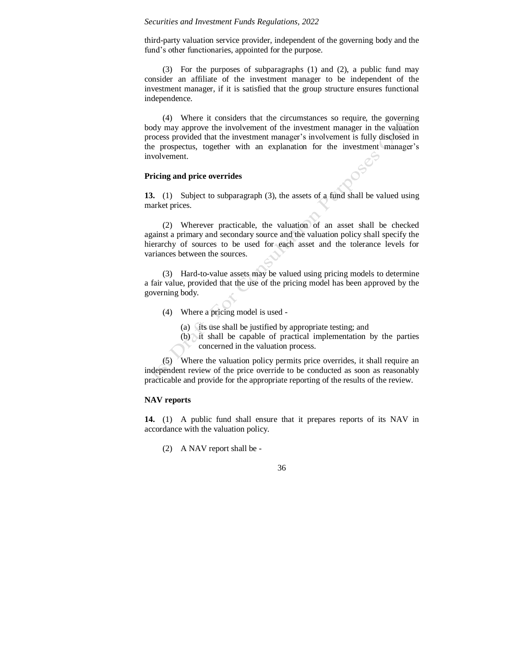third-party valuation service provider, independent of the governing body and the fund's other functionaries, appointed for the purpose.

(3) For the purposes of subparagraphs (1) and (2), a public fund may consider an affiliate of the investment manager to be independent of the investment manager, if it is satisfied that the group structure ensures functional independence.

(4) Where it considers that the circumstances so require, the governing body may approve the involvement of the investment manager in the valuation process provided that the investment manager's involvement is fully disclosed in the prospectus, together with an explanation for the investment manager's involvement.

#### **Pricing and price overrides**

**13.** (1) Subject to subparagraph (3), the assets of a fund shall be valued using market prices.

(2) Wherever practicable, the valuation of an asset shall be checked against a primary and secondary source and the valuation policy shall specify the hierarchy of sources to be used for each asset and the tolerance levels for variances between the sources.

(3) Hard-to-value assets may be valued using pricing models to determine a fair value, provided that the use of the pricing model has been approved by the governing body.

- (4) Where a pricing model is used
	- (a) its use shall be justified by appropriate testing; and
	- (b) it shall be capable of practical implementation by the parties concerned in the valuation process.

(5) Where the valuation policy permits price overrides, it shall require an independent review of the price override to be conducted as soon as reasonably practicable and provide for the appropriate reporting of the results of the review.

# **NAV reports**

**14.** (1) A public fund shall ensure that it prepares reports of its NAV in accordance with the valuation policy.

(2) A NAV report shall be -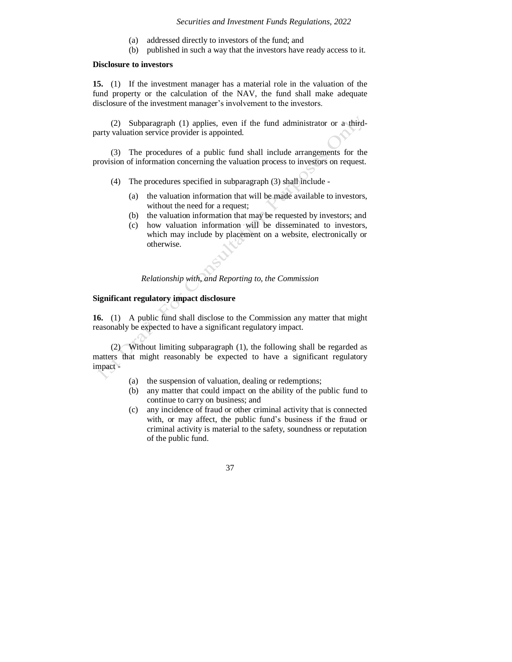- (a) addressed directly to investors of the fund; and
- (b) published in such a way that the investors have ready access to it.

#### **Disclosure to investors**

**15.** (1) If the investment manager has a material role in the valuation of the fund property or the calculation of the NAV, the fund shall make adequate disclosure of the investment manager's involvement to the investors.

(2) Subparagraph (1) applies, even if the fund administrator or a thirdparty valuation service provider is appointed.

(3) The procedures of a public fund shall include arrangements for the provision of information concerning the valuation process to investors on request.

- (4) The procedures specified in subparagraph (3) shall include
	- (a) the valuation information that will be made available to investors, without the need for a request;
	- (b) the valuation information that may be requested by investors; and
	- (c) how valuation information will be disseminated to investors, which may include by placement on a website, electronically or otherwise.

*Relationship with, and Reporting to, the Commission*

# **Significant regulatory impact disclosure**

**16.** (1) A public fund shall disclose to the Commission any matter that might reasonably be expected to have a significant regulatory impact.

(2) Without limiting subparagraph (1), the following shall be regarded as matters that might reasonably be expected to have a significant regulatory impact -

- (a) the suspension of valuation, dealing or redemptions;
- (b) any matter that could impact on the ability of the public fund to continue to carry on business; and
- (c) any incidence of fraud or other criminal activity that is connected with, or may affect, the public fund's business if the fraud or criminal activity is material to the safety, soundness or reputation of the public fund.

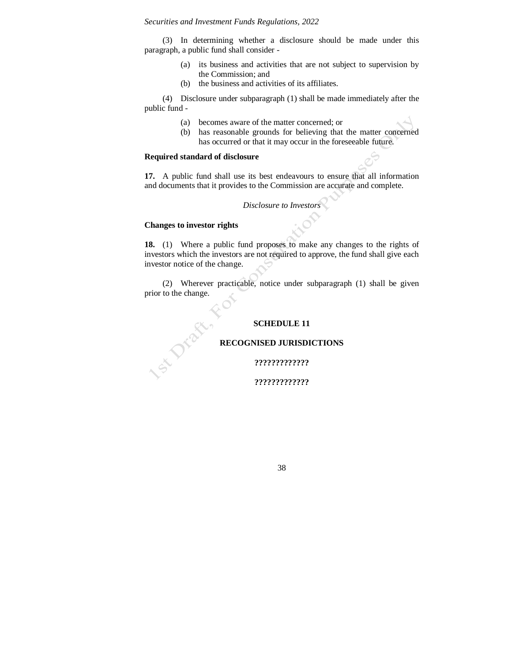(3) In determining whether a disclosure should be made under this paragraph, a public fund shall consider -

- (a) its business and activities that are not subject to supervision by the Commission; and
- (b) the business and activities of its affiliates.

(4) Disclosure under subparagraph (1) shall be made immediately after the public fund -

- (a) becomes aware of the matter concerned; or
- (b) has reasonable grounds for believing that the matter concerned has occurred or that it may occur in the foreseeable future.

## **Required standard of disclosure**

**17.** A public fund shall use its best endeavours to ensure that all information and documents that it provides to the Commission are accurate and complete.

# *Disclosure to Investors*

## **Changes to investor rights**

SILDERY

**18.** (1) Where a public fund proposes to make any changes to the rights of investors which the investors are not required to approve, the fund shall give each investor notice of the change.

(2) Wherever practicable, notice under subparagraph (1) shall be given prior to the change.

## **SCHEDULE 11**

# **RECOGNISED JURISDICTIONS**

**?????????????**

**?????????????**